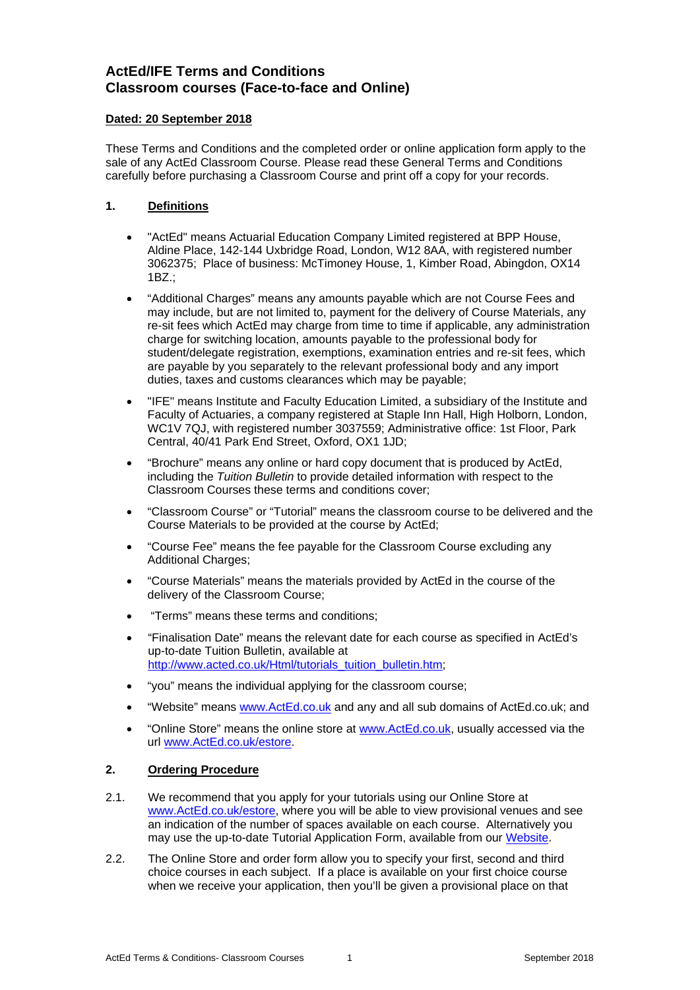# **ActEd/IFE Terms and Conditions Classroom courses (Face-to-face and Online)**

#### **Dated: 20 September 2018**

These Terms and Conditions and the completed order or online application form apply to the sale of any ActEd Classroom Course. Please read these General Terms and Conditions carefully before purchasing a Classroom Course and print off a copy for your records.

## **1. Definitions**

- "ActEd" means Actuarial Education Company Limited registered at BPP House, Aldine Place, 142-144 Uxbridge Road, London, W12 8AA, with registered number 3062375; Place of business: McTimoney House, 1, Kimber Road, Abingdon, OX14 1BZ.;
- "Additional Charges" means any amounts payable which are not Course Fees and may include, but are not limited to, payment for the delivery of Course Materials, any re-sit fees which ActEd may charge from time to time if applicable, any administration charge for switching location, amounts payable to the professional body for student/delegate registration, exemptions, examination entries and re-sit fees, which are payable by you separately to the relevant professional body and any import duties, taxes and customs clearances which may be payable;
- "IFE" means Institute and Faculty Education Limited, a subsidiary of the Institute and Faculty of Actuaries, a company registered at Staple Inn Hall, High Holborn, London, WC1V 7QJ, with registered number 3037559; Administrative office: 1st Floor, Park Central, 40/41 Park End Street, Oxford, OX1 1JD;
- "Brochure" means any online or hard copy document that is produced by ActEd, including the *Tuition Bulletin* to provide detailed information with respect to the Classroom Courses these terms and conditions cover;
- "Classroom Course" or "Tutorial" means the classroom course to be delivered and the Course Materials to be provided at the course by ActEd;
- "Course Fee" means the fee payable for the Classroom Course excluding any Additional Charges;
- "Course Materials" means the materials provided by ActEd in the course of the delivery of the Classroom Course;
- "Terms" means these terms and conditions;
- "Finalisation Date" means the relevant date for each course as specified in ActEd's up-to-date Tuition Bulletin, available at http://www.acted.co.uk/Html/tutorials\_tuition\_bulletin.htm;
- "you" means the individual applying for the classroom course;
- "Website" means www.ActEd.co.uk and any and all sub domains of ActEd.co.uk; and
- "Online Store" means the online store at www.ActEd.co.uk, usually accessed via the url www.ActEd.co.uk/estore.

## **2. Ordering Procedure**

- 2.1. We recommend that you apply for your tutorials using our Online Store at www.ActEd.co.uk/estore, where you will be able to view provisional venues and see an indication of the number of spaces available on each course. Alternatively you may use the up-to-date Tutorial Application Form, available from our Website.
- 2.2. The Online Store and order form allow you to specify your first, second and third choice courses in each subject. If a place is available on your first choice course when we receive your application, then you'll be given a provisional place on that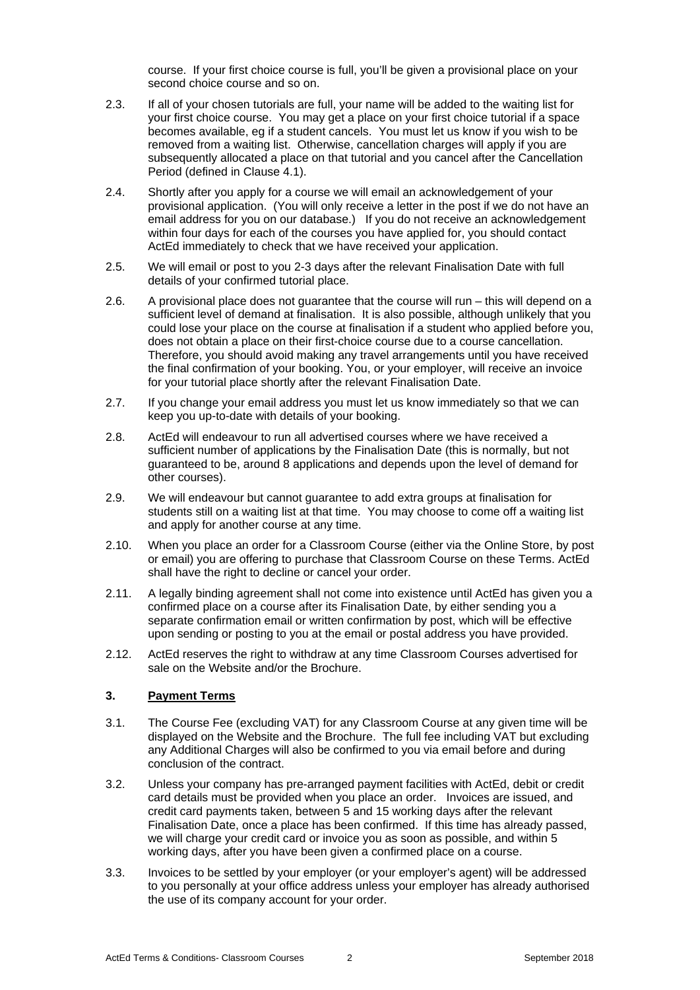course. If your first choice course is full, you'll be given a provisional place on your second choice course and so on.

- 2.3. If all of your chosen tutorials are full, your name will be added to the waiting list for your first choice course. You may get a place on your first choice tutorial if a space becomes available, eg if a student cancels. You must let us know if you wish to be removed from a waiting list. Otherwise, cancellation charges will apply if you are subsequently allocated a place on that tutorial and you cancel after the Cancellation Period (defined in Clause 4.1).
- 2.4. Shortly after you apply for a course we will email an acknowledgement of your provisional application. (You will only receive a letter in the post if we do not have an email address for you on our database.) If you do not receive an acknowledgement within four days for each of the courses you have applied for, you should contact ActEd immediately to check that we have received your application.
- 2.5. We will email or post to you 2-3 days after the relevant Finalisation Date with full details of your confirmed tutorial place.
- 2.6. A provisional place does not guarantee that the course will run this will depend on a sufficient level of demand at finalisation. It is also possible, although unlikely that you could lose your place on the course at finalisation if a student who applied before you, does not obtain a place on their first-choice course due to a course cancellation. Therefore, you should avoid making any travel arrangements until you have received the final confirmation of your booking. You, or your employer, will receive an invoice for your tutorial place shortly after the relevant Finalisation Date.
- 2.7. If you change your email address you must let us know immediately so that we can keep you up-to-date with details of your booking.
- 2.8. ActEd will endeavour to run all advertised courses where we have received a sufficient number of applications by the Finalisation Date (this is normally, but not guaranteed to be, around 8 applications and depends upon the level of demand for other courses).
- 2.9. We will endeavour but cannot guarantee to add extra groups at finalisation for students still on a waiting list at that time. You may choose to come off a waiting list and apply for another course at any time.
- 2.10. When you place an order for a Classroom Course (either via the Online Store, by post or email) you are offering to purchase that Classroom Course on these Terms. ActEd shall have the right to decline or cancel your order.
- 2.11. A legally binding agreement shall not come into existence until ActEd has given you a confirmed place on a course after its Finalisation Date, by either sending you a separate confirmation email or written confirmation by post, which will be effective upon sending or posting to you at the email or postal address you have provided.
- 2.12. ActEd reserves the right to withdraw at any time Classroom Courses advertised for sale on the Website and/or the Brochure.

## **3. Payment Terms**

- 3.1. The Course Fee (excluding VAT) for any Classroom Course at any given time will be displayed on the Website and the Brochure. The full fee including VAT but excluding any Additional Charges will also be confirmed to you via email before and during conclusion of the contract.
- 3.2. Unless your company has pre-arranged payment facilities with ActEd, debit or credit card details must be provided when you place an order. Invoices are issued, and credit card payments taken, between 5 and 15 working days after the relevant Finalisation Date, once a place has been confirmed. If this time has already passed, we will charge your credit card or invoice you as soon as possible, and within 5 working days, after you have been given a confirmed place on a course.
- 3.3. Invoices to be settled by your employer (or your employer's agent) will be addressed to you personally at your office address unless your employer has already authorised the use of its company account for your order.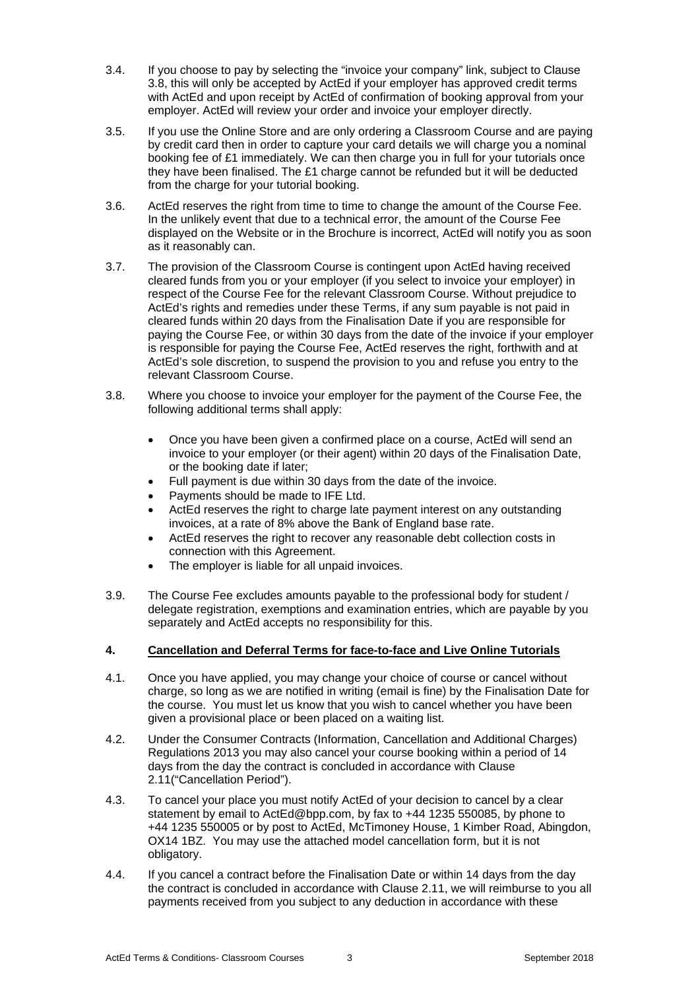- 3.4. If you choose to pay by selecting the "invoice your company" link, subject to Clause 3.8, this will only be accepted by ActEd if your employer has approved credit terms with ActEd and upon receipt by ActEd of confirmation of booking approval from your employer. ActEd will review your order and invoice your employer directly.
- 3.5. If you use the Online Store and are only ordering a Classroom Course and are paying by credit card then in order to capture your card details we will charge you a nominal booking fee of £1 immediately. We can then charge you in full for your tutorials once they have been finalised. The £1 charge cannot be refunded but it will be deducted from the charge for your tutorial booking.
- 3.6. ActEd reserves the right from time to time to change the amount of the Course Fee. In the unlikely event that due to a technical error, the amount of the Course Fee displayed on the Website or in the Brochure is incorrect, ActEd will notify you as soon as it reasonably can.
- 3.7. The provision of the Classroom Course is contingent upon ActEd having received cleared funds from you or your employer (if you select to invoice your employer) in respect of the Course Fee for the relevant Classroom Course. Without prejudice to ActEd's rights and remedies under these Terms, if any sum payable is not paid in cleared funds within 20 days from the Finalisation Date if you are responsible for paying the Course Fee, or within 30 days from the date of the invoice if your employer is responsible for paying the Course Fee, ActEd reserves the right, forthwith and at ActEd's sole discretion, to suspend the provision to you and refuse you entry to the relevant Classroom Course.
- 3.8. Where you choose to invoice your employer for the payment of the Course Fee, the following additional terms shall apply:
	- Once you have been given a confirmed place on a course, ActEd will send an invoice to your employer (or their agent) within 20 days of the Finalisation Date, or the booking date if later;
	- Full payment is due within 30 days from the date of the invoice.
	- Payments should be made to IFE Ltd.
	- ActEd reserves the right to charge late payment interest on any outstanding invoices, at a rate of 8% above the Bank of England base rate.
	- ActEd reserves the right to recover any reasonable debt collection costs in connection with this Agreement.
	- The employer is liable for all unpaid invoices.
- 3.9. The Course Fee excludes amounts payable to the professional body for student / delegate registration, exemptions and examination entries, which are payable by you separately and ActEd accepts no responsibility for this.

## **4. Cancellation and Deferral Terms for face-to-face and Live Online Tutorials**

- 4.1. Once you have applied, you may change your choice of course or cancel without charge, so long as we are notified in writing (email is fine) by the Finalisation Date for the course. You must let us know that you wish to cancel whether you have been given a provisional place or been placed on a waiting list.
- 4.2. Under the Consumer Contracts (Information, Cancellation and Additional Charges) Regulations 2013 you may also cancel your course booking within a period of 14 days from the day the contract is concluded in accordance with Clause 2.11("Cancellation Period").
- 4.3. To cancel your place you must notify ActEd of your decision to cancel by a clear statement by email to ActEd@bpp.com, by fax to +44 1235 550085, by phone to +44 1235 550005 or by post to ActEd, McTimoney House, 1 Kimber Road, Abingdon, OX14 1BZ. You may use the attached model cancellation form, but it is not obligatory.
- 4.4. If you cancel a contract before the Finalisation Date or within 14 days from the day the contract is concluded in accordance with Clause 2.11, we will reimburse to you all payments received from you subject to any deduction in accordance with these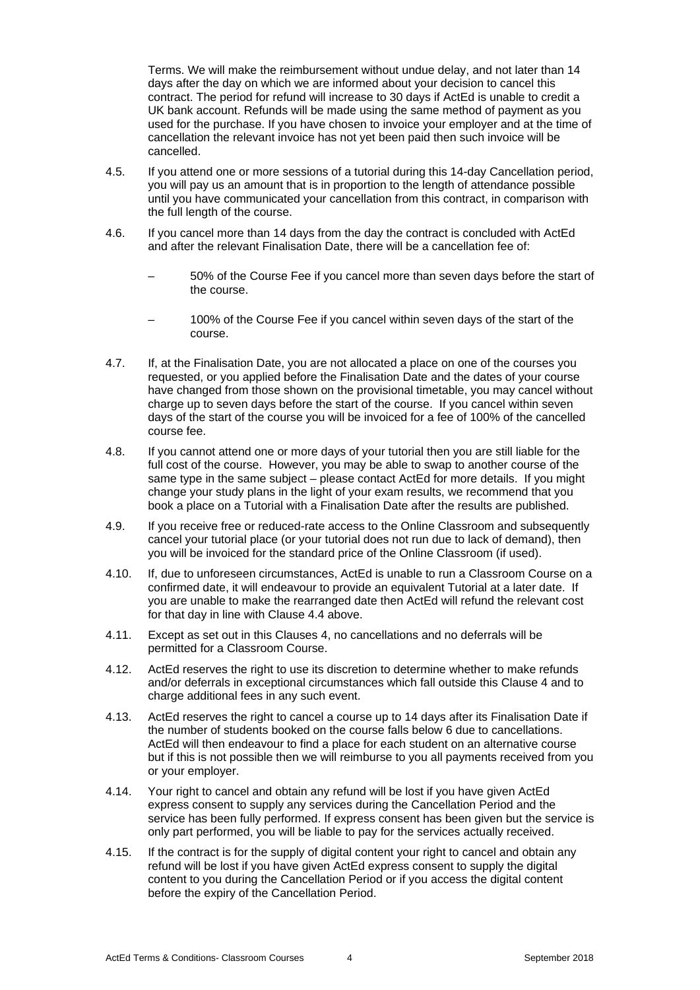Terms. We will make the reimbursement without undue delay, and not later than 14 days after the day on which we are informed about your decision to cancel this contract. The period for refund will increase to 30 days if ActEd is unable to credit a UK bank account. Refunds will be made using the same method of payment as you used for the purchase. If you have chosen to invoice your employer and at the time of cancellation the relevant invoice has not yet been paid then such invoice will be cancelled.

- 4.5. If you attend one or more sessions of a tutorial during this 14-day Cancellation period, you will pay us an amount that is in proportion to the length of attendance possible until you have communicated your cancellation from this contract, in comparison with the full length of the course.
- 4.6. If you cancel more than 14 days from the day the contract is concluded with ActEd and after the relevant Finalisation Date, there will be a cancellation fee of:
	- 50% of the Course Fee if you cancel more than seven days before the start of the course.
	- 100% of the Course Fee if you cancel within seven days of the start of the course.
- 4.7. If, at the Finalisation Date, you are not allocated a place on one of the courses you requested, or you applied before the Finalisation Date and the dates of your course have changed from those shown on the provisional timetable, you may cancel without charge up to seven days before the start of the course. If you cancel within seven days of the start of the course you will be invoiced for a fee of 100% of the cancelled course fee.
- 4.8. If you cannot attend one or more days of your tutorial then you are still liable for the full cost of the course. However, you may be able to swap to another course of the same type in the same subject – please contact ActEd for more details. If you might change your study plans in the light of your exam results, we recommend that you book a place on a Tutorial with a Finalisation Date after the results are published.
- 4.9. If you receive free or reduced-rate access to the Online Classroom and subsequently cancel your tutorial place (or your tutorial does not run due to lack of demand), then you will be invoiced for the standard price of the Online Classroom (if used).
- 4.10. If, due to unforeseen circumstances, ActEd is unable to run a Classroom Course on a confirmed date, it will endeavour to provide an equivalent Tutorial at a later date. If you are unable to make the rearranged date then ActEd will refund the relevant cost for that day in line with Clause 4.4 above.
- 4.11. Except as set out in this Clauses 4, no cancellations and no deferrals will be permitted for a Classroom Course.
- 4.12. ActEd reserves the right to use its discretion to determine whether to make refunds and/or deferrals in exceptional circumstances which fall outside this Clause 4 and to charge additional fees in any such event.
- 4.13. ActEd reserves the right to cancel a course up to 14 days after its Finalisation Date if the number of students booked on the course falls below 6 due to cancellations. ActEd will then endeavour to find a place for each student on an alternative course but if this is not possible then we will reimburse to you all payments received from you or your employer.
- 4.14. Your right to cancel and obtain any refund will be lost if you have given ActEd express consent to supply any services during the Cancellation Period and the service has been fully performed. If express consent has been given but the service is only part performed, you will be liable to pay for the services actually received.
- 4.15. If the contract is for the supply of digital content your right to cancel and obtain any refund will be lost if you have given ActEd express consent to supply the digital content to you during the Cancellation Period or if you access the digital content before the expiry of the Cancellation Period.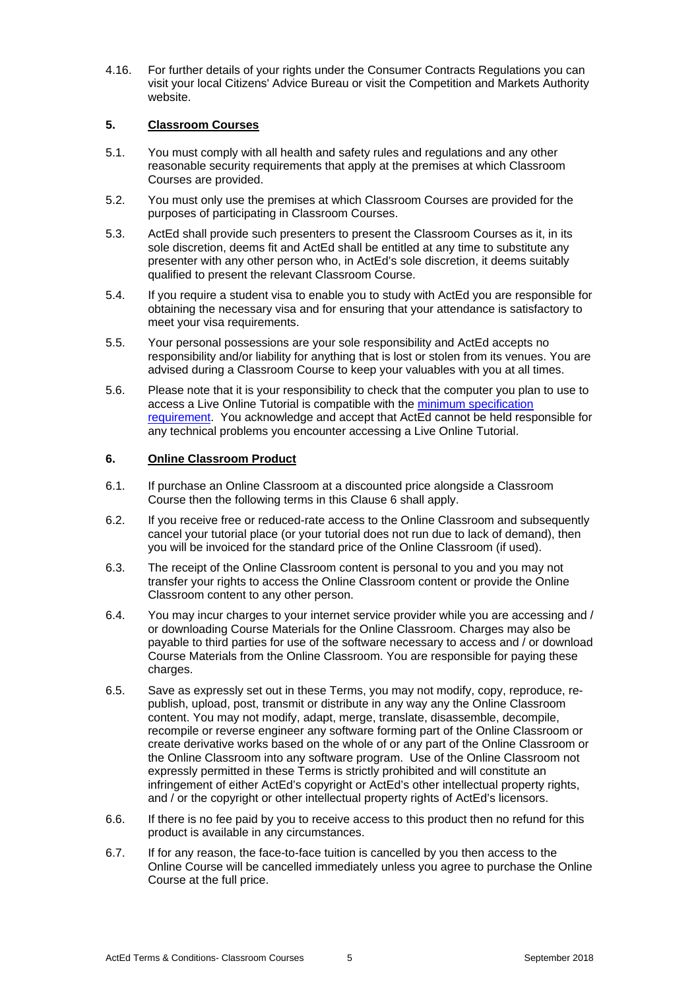4.16. For further details of your rights under the Consumer Contracts Regulations you can visit your local Citizens' Advice Bureau or visit the Competition and Markets Authority website.

## **5. Classroom Courses**

- 5.1. You must comply with all health and safety rules and regulations and any other reasonable security requirements that apply at the premises at which Classroom Courses are provided.
- 5.2. You must only use the premises at which Classroom Courses are provided for the purposes of participating in Classroom Courses.
- 5.3. ActEd shall provide such presenters to present the Classroom Courses as it, in its sole discretion, deems fit and ActEd shall be entitled at any time to substitute any presenter with any other person who, in ActEd's sole discretion, it deems suitably qualified to present the relevant Classroom Course.
- 5.4. If you require a student visa to enable you to study with ActEd you are responsible for obtaining the necessary visa and for ensuring that your attendance is satisfactory to meet your visa requirements.
- 5.5. Your personal possessions are your sole responsibility and ActEd accepts no responsibility and/or liability for anything that is lost or stolen from its venues. You are advised during a Classroom Course to keep your valuables with you at all times.
- 5.6. Please note that it is your responsibility to check that the computer you plan to use to access a Live Online Tutorial is compatible with the minimum specification requirement. You acknowledge and accept that ActEd cannot be held responsible for any technical problems you encounter accessing a Live Online Tutorial.

#### **6. Online Classroom Product**

- 6.1. If purchase an Online Classroom at a discounted price alongside a Classroom Course then the following terms in this Clause 6 shall apply.
- 6.2. If you receive free or reduced-rate access to the Online Classroom and subsequently cancel your tutorial place (or your tutorial does not run due to lack of demand), then you will be invoiced for the standard price of the Online Classroom (if used).
- 6.3. The receipt of the Online Classroom content is personal to you and you may not transfer your rights to access the Online Classroom content or provide the Online Classroom content to any other person.
- 6.4. You may incur charges to your internet service provider while you are accessing and / or downloading Course Materials for the Online Classroom. Charges may also be payable to third parties for use of the software necessary to access and / or download Course Materials from the Online Classroom. You are responsible for paying these charges.
- 6.5. Save as expressly set out in these Terms, you may not modify, copy, reproduce, republish, upload, post, transmit or distribute in any way any the Online Classroom content. You may not modify, adapt, merge, translate, disassemble, decompile, recompile or reverse engineer any software forming part of the Online Classroom or create derivative works based on the whole of or any part of the Online Classroom or the Online Classroom into any software program. Use of the Online Classroom not expressly permitted in these Terms is strictly prohibited and will constitute an infringement of either ActEd's copyright or ActEd's other intellectual property rights, and / or the copyright or other intellectual property rights of ActEd's licensors.
- 6.6. If there is no fee paid by you to receive access to this product then no refund for this product is available in any circumstances.
- 6.7. If for any reason, the face-to-face tuition is cancelled by you then access to the Online Course will be cancelled immediately unless you agree to purchase the Online Course at the full price.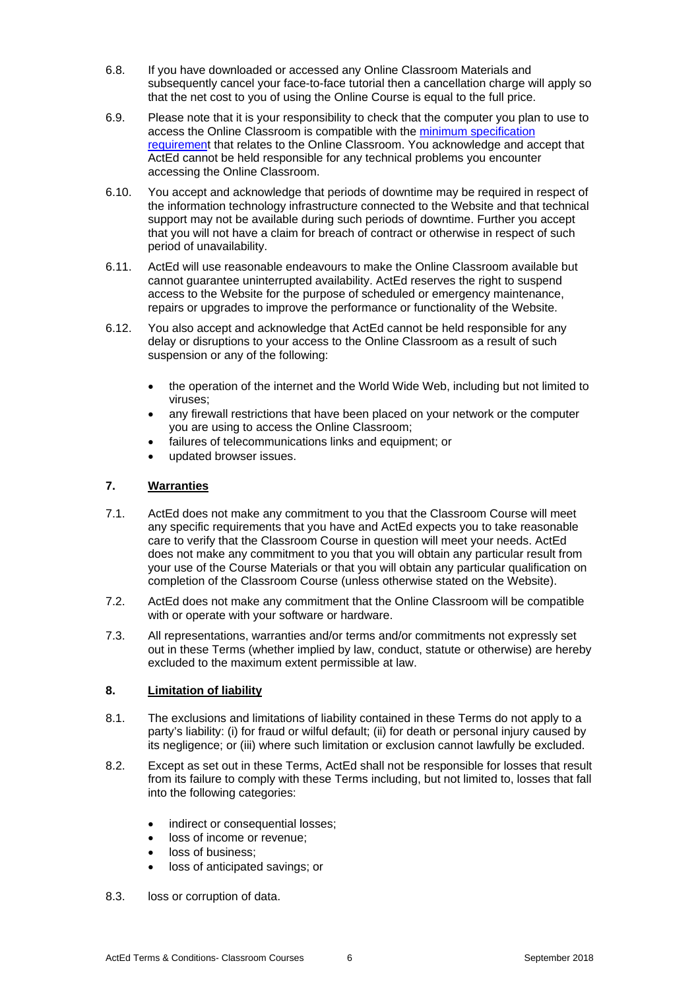- 6.8. If you have downloaded or accessed any Online Classroom Materials and subsequently cancel your face-to-face tutorial then a cancellation charge will apply so that the net cost to you of using the Online Course is equal to the full price.
- 6.9. Please note that it is your responsibility to check that the computer you plan to use to access the Online Classroom is compatible with the minimum specification requirement that relates to the Online Classroom. You acknowledge and accept that ActEd cannot be held responsible for any technical problems you encounter accessing the Online Classroom.
- 6.10. You accept and acknowledge that periods of downtime may be required in respect of the information technology infrastructure connected to the Website and that technical support may not be available during such periods of downtime. Further you accept that you will not have a claim for breach of contract or otherwise in respect of such period of unavailability.
- 6.11. ActEd will use reasonable endeavours to make the Online Classroom available but cannot guarantee uninterrupted availability. ActEd reserves the right to suspend access to the Website for the purpose of scheduled or emergency maintenance, repairs or upgrades to improve the performance or functionality of the Website.
- 6.12. You also accept and acknowledge that ActEd cannot be held responsible for any delay or disruptions to your access to the Online Classroom as a result of such suspension or any of the following:
	- the operation of the internet and the World Wide Web, including but not limited to viruses;
	- any firewall restrictions that have been placed on your network or the computer you are using to access the Online Classroom;
	- failures of telecommunications links and equipment; or
	- updated browser issues.

# **7. Warranties**

- 7.1. ActEd does not make any commitment to you that the Classroom Course will meet any specific requirements that you have and ActEd expects you to take reasonable care to verify that the Classroom Course in question will meet your needs. ActEd does not make any commitment to you that you will obtain any particular result from your use of the Course Materials or that you will obtain any particular qualification on completion of the Classroom Course (unless otherwise stated on the Website).
- 7.2. ActEd does not make any commitment that the Online Classroom will be compatible with or operate with your software or hardware.
- 7.3. All representations, warranties and/or terms and/or commitments not expressly set out in these Terms (whether implied by law, conduct, statute or otherwise) are hereby excluded to the maximum extent permissible at law.

## **8. Limitation of liability**

- 8.1. The exclusions and limitations of liability contained in these Terms do not apply to a party's liability: (i) for fraud or wilful default; (ii) for death or personal injury caused by its negligence; or (iii) where such limitation or exclusion cannot lawfully be excluded.
- 8.2. Except as set out in these Terms, ActEd shall not be responsible for losses that result from its failure to comply with these Terms including, but not limited to, losses that fall into the following categories:
	- indirect or consequential losses;
	- loss of income or revenue;
	- loss of business;
	- loss of anticipated savings; or
- 8.3. loss or corruption of data.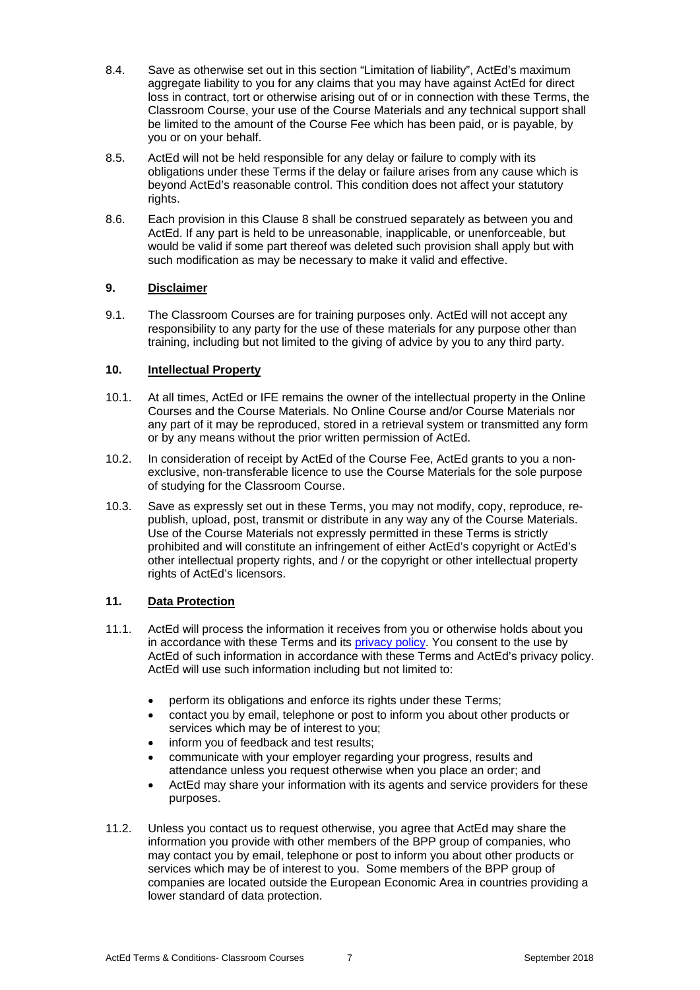- 8.4. Save as otherwise set out in this section "Limitation of liability", ActEd's maximum aggregate liability to you for any claims that you may have against ActEd for direct loss in contract, tort or otherwise arising out of or in connection with these Terms, the Classroom Course, your use of the Course Materials and any technical support shall be limited to the amount of the Course Fee which has been paid, or is payable, by you or on your behalf.
- 8.5. ActEd will not be held responsible for any delay or failure to comply with its obligations under these Terms if the delay or failure arises from any cause which is beyond ActEd's reasonable control. This condition does not affect your statutory rights.
- 8.6. Each provision in this Clause 8 shall be construed separately as between you and ActEd. If any part is held to be unreasonable, inapplicable, or unenforceable, but would be valid if some part thereof was deleted such provision shall apply but with such modification as may be necessary to make it valid and effective.

## **9. Disclaimer**

9.1. The Classroom Courses are for training purposes only. ActEd will not accept any responsibility to any party for the use of these materials for any purpose other than training, including but not limited to the giving of advice by you to any third party.

# **10. Intellectual Property**

- 10.1. At all times, ActEd or IFE remains the owner of the intellectual property in the Online Courses and the Course Materials. No Online Course and/or Course Materials nor any part of it may be reproduced, stored in a retrieval system or transmitted any form or by any means without the prior written permission of ActEd.
- 10.2. In consideration of receipt by ActEd of the Course Fee, ActEd grants to you a nonexclusive, non-transferable licence to use the Course Materials for the sole purpose of studying for the Classroom Course.
- 10.3. Save as expressly set out in these Terms, you may not modify, copy, reproduce, republish, upload, post, transmit or distribute in any way any of the Course Materials. Use of the Course Materials not expressly permitted in these Terms is strictly prohibited and will constitute an infringement of either ActEd's copyright or ActEd's other intellectual property rights, and / or the copyright or other intellectual property rights of ActEd's licensors.

# **11. Data Protection**

- 11.1. ActEd will process the information it receives from you or otherwise holds about you in accordance with these Terms and its privacy policy. You consent to the use by ActEd of such information in accordance with these Terms and ActEd's privacy policy. ActEd will use such information including but not limited to:
	- perform its obligations and enforce its rights under these Terms;
	- contact you by email, telephone or post to inform you about other products or services which may be of interest to you;
	- inform you of feedback and test results;
	- communicate with your employer regarding your progress, results and attendance unless you request otherwise when you place an order; and
	- ActEd may share your information with its agents and service providers for these purposes.
- 11.2. Unless you contact us to request otherwise, you agree that ActEd may share the information you provide with other members of the BPP group of companies, who may contact you by email, telephone or post to inform you about other products or services which may be of interest to you. Some members of the BPP group of companies are located outside the European Economic Area in countries providing a lower standard of data protection.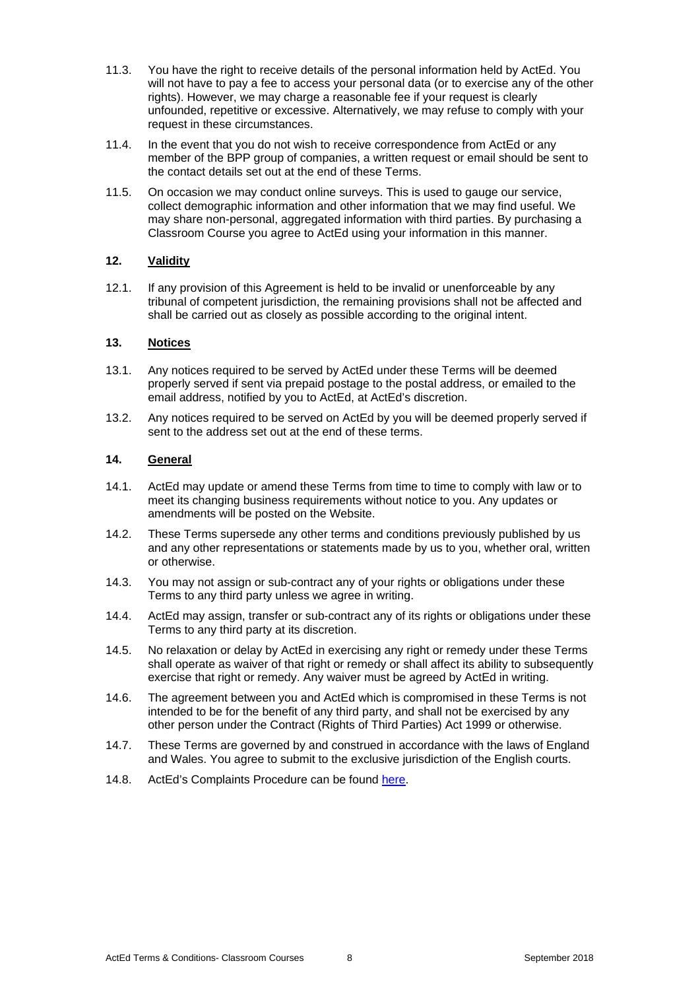- 11.3. You have the right to receive details of the personal information held by ActEd. You will not have to pay a fee to access your personal data (or to exercise any of the other rights). However, we may charge a reasonable fee if your request is clearly unfounded, repetitive or excessive. Alternatively, we may refuse to comply with your request in these circumstances.
- 11.4. In the event that you do not wish to receive correspondence from ActEd or any member of the BPP group of companies, a written request or email should be sent to the contact details set out at the end of these Terms.
- 11.5. On occasion we may conduct online surveys. This is used to gauge our service, collect demographic information and other information that we may find useful. We may share non-personal, aggregated information with third parties. By purchasing a Classroom Course you agree to ActEd using your information in this manner.

## **12. Validity**

12.1. If any provision of this Agreement is held to be invalid or unenforceable by any tribunal of competent jurisdiction, the remaining provisions shall not be affected and shall be carried out as closely as possible according to the original intent.

#### **13. Notices**

- 13.1. Any notices required to be served by ActEd under these Terms will be deemed properly served if sent via prepaid postage to the postal address, or emailed to the email address, notified by you to ActEd, at ActEd's discretion.
- 13.2. Any notices required to be served on ActEd by you will be deemed properly served if sent to the address set out at the end of these terms.

#### **14. General**

- 14.1. ActEd may update or amend these Terms from time to time to comply with law or to meet its changing business requirements without notice to you. Any updates or amendments will be posted on the Website.
- 14.2. These Terms supersede any other terms and conditions previously published by us and any other representations or statements made by us to you, whether oral, written or otherwise.
- 14.3. You may not assign or sub-contract any of your rights or obligations under these Terms to any third party unless we agree in writing.
- 14.4. ActEd may assign, transfer or sub-contract any of its rights or obligations under these Terms to any third party at its discretion.
- 14.5. No relaxation or delay by ActEd in exercising any right or remedy under these Terms shall operate as waiver of that right or remedy or shall affect its ability to subsequently exercise that right or remedy. Any waiver must be agreed by ActEd in writing.
- 14.6. The agreement between you and ActEd which is compromised in these Terms is not intended to be for the benefit of any third party, and shall not be exercised by any other person under the Contract (Rights of Third Parties) Act 1999 or otherwise.
- 14.7. These Terms are governed by and construed in accordance with the laws of England and Wales. You agree to submit to the exclusive jurisdiction of the English courts.
- 14.8. ActEd's Complaints Procedure can be found here.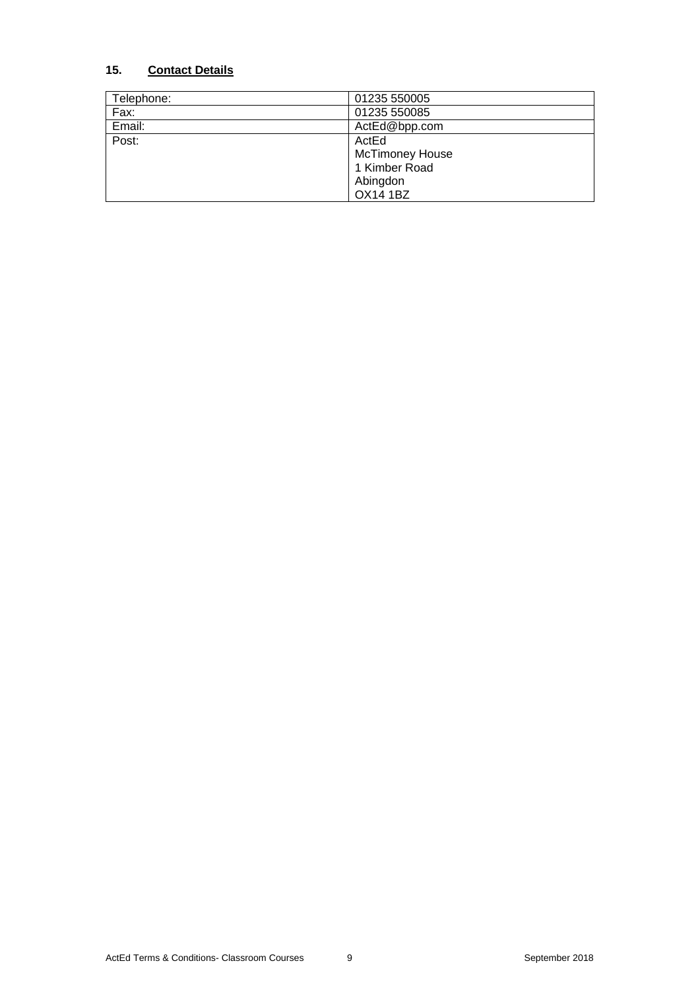# **15. Contact Details**

| Telephone: | 01235 550005           |
|------------|------------------------|
| Fax:       | 01235 550085           |
| Email:     | ActEd@bpp.com          |
| Post:      | ActEd                  |
|            | <b>McTimoney House</b> |
|            | 1 Kimber Road          |
|            | Abingdon               |
|            | <b>OX14 1BZ</b>        |